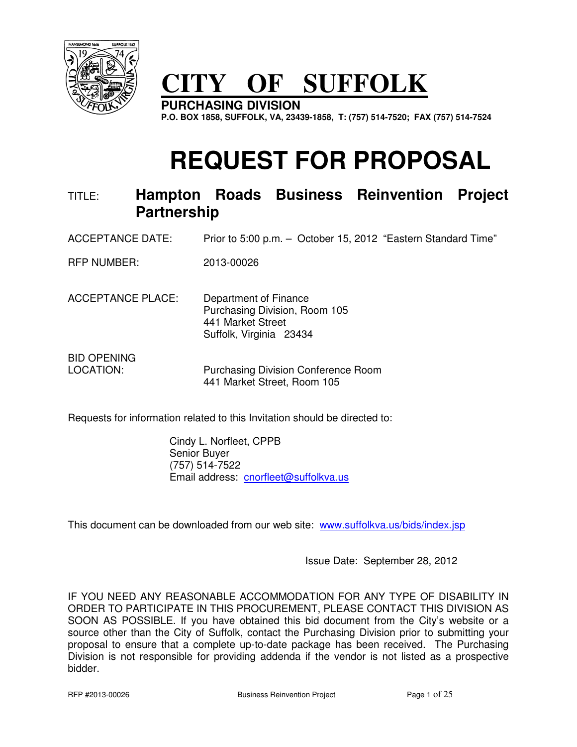

# **CITY OF SUFFOLK**

**PURCHASING DIVISION P.O. BOX 1858, SUFFOLK, VA, 23439-1858, T: (757) 514-7520; FAX (757) 514-7524** 

# **REQUEST FOR PROPOSAL**

# TITLE: **Hampton Roads Business Reinvention Project Partnership**

ACCEPTANCE DATE: Prior to 5:00 p.m. – October 15, 2012 "Eastern Standard Time"

RFP NUMBER: 2013-00026

ACCEPTANCE PLACE: Department of Finance Purchasing Division, Room 105 441 Market Street Suffolk, Virginia 23434

BID OPENING LOCATION: Purchasing Division Conference Room 441 Market Street, Room 105

Requests for information related to this Invitation should be directed to:

 Cindy L. Norfleet, CPPB Senior Buyer (757) 514-7522 Email address: cnorfleet@suffolkva.us

This document can be downloaded from our web site: www.suffolkva.us/bids/index.jsp

Issue Date: September 28, 2012

IF YOU NEED ANY REASONABLE ACCOMMODATION FOR ANY TYPE OF DISABILITY IN ORDER TO PARTICIPATE IN THIS PROCUREMENT, PLEASE CONTACT THIS DIVISION AS SOON AS POSSIBLE. If you have obtained this bid document from the City's website or a source other than the City of Suffolk, contact the Purchasing Division prior to submitting your proposal to ensure that a complete up-to-date package has been received. The Purchasing Division is not responsible for providing addenda if the vendor is not listed as a prospective bidder.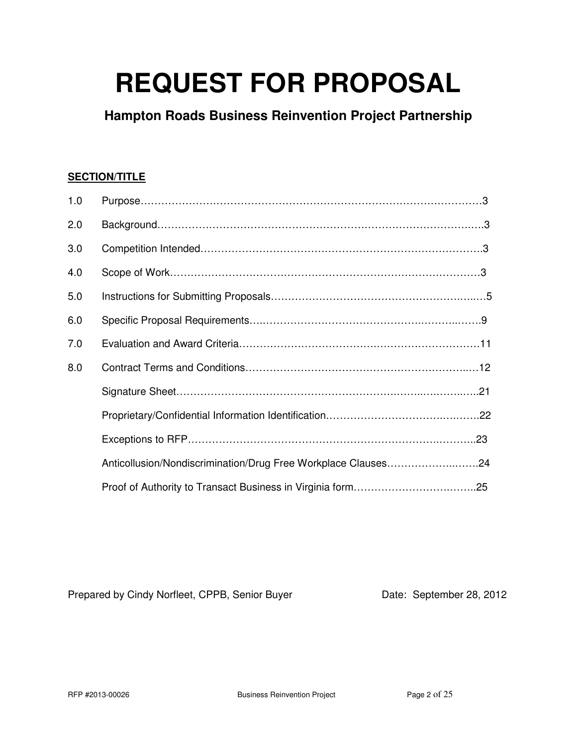# **REQUEST FOR PROPOSAL**

**Hampton Roads Business Reinvention Project Partnership**

# **SECTION/TITLE**

| 1.0 |                                                               |  |
|-----|---------------------------------------------------------------|--|
| 2.0 |                                                               |  |
| 3.0 |                                                               |  |
| 4.0 |                                                               |  |
| 5.0 |                                                               |  |
| 6.0 |                                                               |  |
| 7.0 |                                                               |  |
| 8.0 |                                                               |  |
|     |                                                               |  |
|     |                                                               |  |
|     |                                                               |  |
|     | Anticollusion/Nondiscrimination/Drug Free Workplace Clauses24 |  |
|     |                                                               |  |

Prepared by Cindy Norfleet, CPPB, Senior Buyer Date: September 28, 2012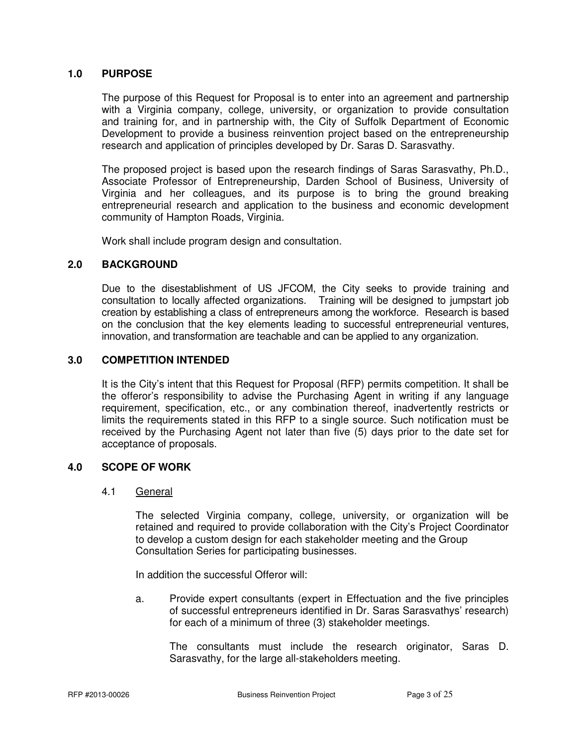#### **1.0 PURPOSE**

 The purpose of this Request for Proposal is to enter into an agreement and partnership with a Virginia company, college, university, or organization to provide consultation and training for, and in partnership with, the City of Suffolk Department of Economic Development to provide a business reinvention project based on the entrepreneurship research and application of principles developed by Dr. Saras D. Sarasvathy.

 The proposed project is based upon the research findings of Saras Sarasvathy, Ph.D., Associate Professor of Entrepreneurship, Darden School of Business, University of Virginia and her colleagues, and its purpose is to bring the ground breaking entrepreneurial research and application to the business and economic development community of Hampton Roads, Virginia.

Work shall include program design and consultation.

#### **2.0 BACKGROUND**

 Due to the disestablishment of US JFCOM, the City seeks to provide training and consultation to locally affected organizations. Training will be designed to jumpstart job creation by establishing a class of entrepreneurs among the workforce. Research is based on the conclusion that the key elements leading to successful entrepreneurial ventures, innovation, and transformation are teachable and can be applied to any organization.

#### **3.0 COMPETITION INTENDED**

It is the City's intent that this Request for Proposal (RFP) permits competition. It shall be the offeror's responsibility to advise the Purchasing Agent in writing if any language requirement, specification, etc., or any combination thereof, inadvertently restricts or limits the requirements stated in this RFP to a single source. Such notification must be received by the Purchasing Agent not later than five (5) days prior to the date set for acceptance of proposals.

# **4.0 SCOPE OF WORK**

#### 4.1 General

The selected Virginia company, college, university, or organization will be retained and required to provide collaboration with the City's Project Coordinator to develop a custom design for each stakeholder meeting and the Group Consultation Series for participating businesses.

In addition the successful Offeror will:

 a. Provide expert consultants (expert in Effectuation and the five principles of successful entrepreneurs identified in Dr. Saras Sarasvathys' research) for each of a minimum of three (3) stakeholder meetings.

 The consultants must include the research originator, Saras D. Sarasvathy, for the large all-stakeholders meeting.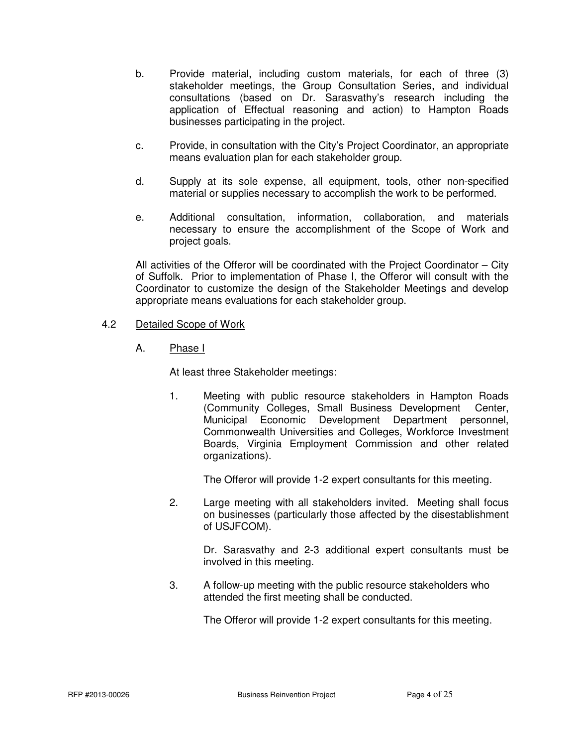- b. Provide material, including custom materials, for each of three (3) stakeholder meetings, the Group Consultation Series, and individual consultations (based on Dr. Sarasvathy's research including the application of Effectual reasoning and action) to Hampton Roads businesses participating in the project.
- c. Provide, in consultation with the City's Project Coordinator, an appropriate means evaluation plan for each stakeholder group.
- d. Supply at its sole expense, all equipment, tools, other non-specified material or supplies necessary to accomplish the work to be performed.
- e. Additional consultation, information, collaboration, and materials necessary to ensure the accomplishment of the Scope of Work and project goals.

 All activities of the Offeror will be coordinated with the Project Coordinator – City of Suffolk. Prior to implementation of Phase I, the Offeror will consult with the Coordinator to customize the design of the Stakeholder Meetings and develop appropriate means evaluations for each stakeholder group.

# 4.2 Detailed Scope of Work

A. Phase I

At least three Stakeholder meetings:

 1. Meeting with public resource stakeholders in Hampton Roads (Community Colleges, Small Business Development Center, Municipal Economic Development Department personnel, Commonwealth Universities and Colleges, Workforce Investment Boards, Virginia Employment Commission and other related organizations).

The Offeror will provide 1-2 expert consultants for this meeting.

 2. Large meeting with all stakeholders invited. Meeting shall focus on businesses (particularly those affected by the disestablishment of USJFCOM).

 Dr. Sarasvathy and 2-3 additional expert consultants must be involved in this meeting.

 3. A follow-up meeting with the public resource stakeholders who attended the first meeting shall be conducted.

The Offeror will provide 1-2 expert consultants for this meeting.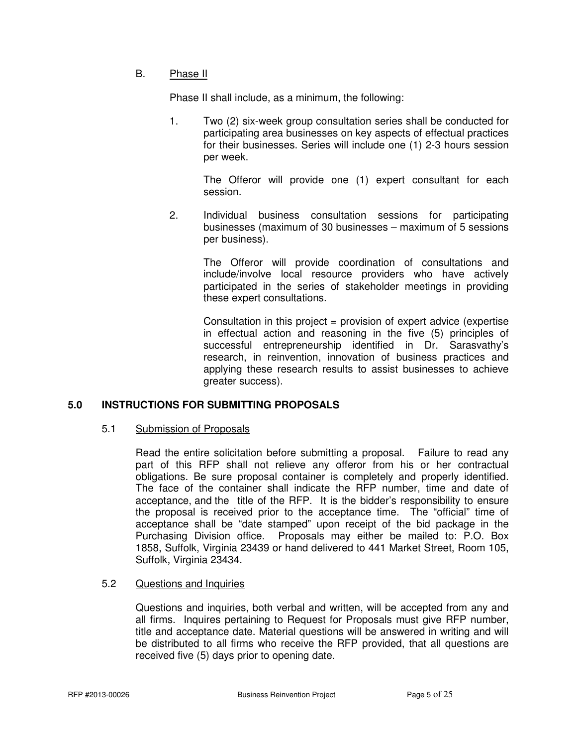# **B.** Phase II

Phase II shall include, as a minimum, the following:

1. Two (2) six-week group consultation series shall be conducted for participating area businesses on key aspects of effectual practices for their businesses. Series will include one (1) 2-3 hours session per week.

 The Offeror will provide one (1) expert consultant for each session.

 2. Individual business consultation sessions for participating businesses (maximum of 30 businesses – maximum of 5 sessions per business).

> The Offeror will provide coordination of consultations and include/involve local resource providers who have actively participated in the series of stakeholder meetings in providing these expert consultations.

> Consultation in this project = provision of expert advice (expertise in effectual action and reasoning in the five (5) principles of successful entrepreneurship identified in Dr. Sarasvathy's research, in reinvention, innovation of business practices and applying these research results to assist businesses to achieve greater success).

# **5.0 INSTRUCTIONS FOR SUBMITTING PROPOSALS**

#### 5.1 Submission of Proposals

 Read the entire solicitation before submitting a proposal. Failure to read any part of this RFP shall not relieve any offeror from his or her contractual obligations. Be sure proposal container is completely and properly identified. The face of the container shall indicate the RFP number, time and date of acceptance, and the title of the RFP. It is the bidder's responsibility to ensure the proposal is received prior to the acceptance time. The "official" time of acceptance shall be "date stamped" upon receipt of the bid package in the Purchasing Division office. Proposals may either be mailed to: P.O. Box 1858, Suffolk, Virginia 23439 or hand delivered to 441 Market Street, Room 105, Suffolk, Virginia 23434.

# 5.2 Questions and Inquiries

 Questions and inquiries, both verbal and written, will be accepted from any and all firms. Inquires pertaining to Request for Proposals must give RFP number, title and acceptance date. Material questions will be answered in writing and will be distributed to all firms who receive the RFP provided, that all questions are received five (5) days prior to opening date.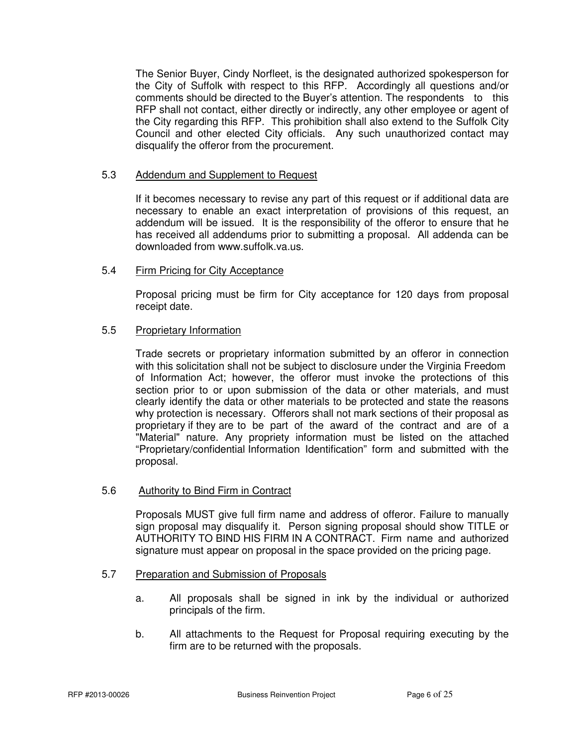The Senior Buyer, Cindy Norfleet, is the designated authorized spokesperson for the City of Suffolk with respect to this RFP. Accordingly all questions and/or comments should be directed to the Buyer's attention. The respondents to this RFP shall not contact, either directly or indirectly, any other employee or agent of the City regarding this RFP. This prohibition shall also extend to the Suffolk City Council and other elected City officials. Any such unauthorized contact may disqualify the offeror from the procurement.

# 5.3 Addendum and Supplement to Request

 If it becomes necessary to revise any part of this request or if additional data are necessary to enable an exact interpretation of provisions of this request, an addendum will be issued. It is the responsibility of the offeror to ensure that he has received all addendums prior to submitting a proposal. All addenda can be downloaded from www.suffolk.va.us.

# 5.4 Firm Pricing for City Acceptance

 Proposal pricing must be firm for City acceptance for 120 days from proposal receipt date.

# 5.5 Proprietary Information

 Trade secrets or proprietary information submitted by an offeror in connection with this solicitation shall not be subject to disclosure under the Virginia Freedom of Information Act; however, the offeror must invoke the protections of this section prior to or upon submission of the data or other materials, and must clearly identify the data or other materials to be protected and state the reasons why protection is necessary. Offerors shall not mark sections of their proposal as proprietary if they are to be part of the award of the contract and are of a "Material" nature. Any propriety information must be listed on the attached "Proprietary/confidential Information Identification" form and submitted with the proposal.

# 5.6 Authority to Bind Firm in Contract

 Proposals MUST give full firm name and address of offeror. Failure to manually sign proposal may disqualify it. Person signing proposal should show TITLE or AUTHORITY TO BIND HIS FIRM IN A CONTRACT. Firm name and authorized signature must appear on proposal in the space provided on the pricing page.

# 5.7 Preparation and Submission of Proposals

- a. All proposals shall be signed in ink by the individual or authorized principals of the firm.
- b. All attachments to the Request for Proposal requiring executing by the firm are to be returned with the proposals.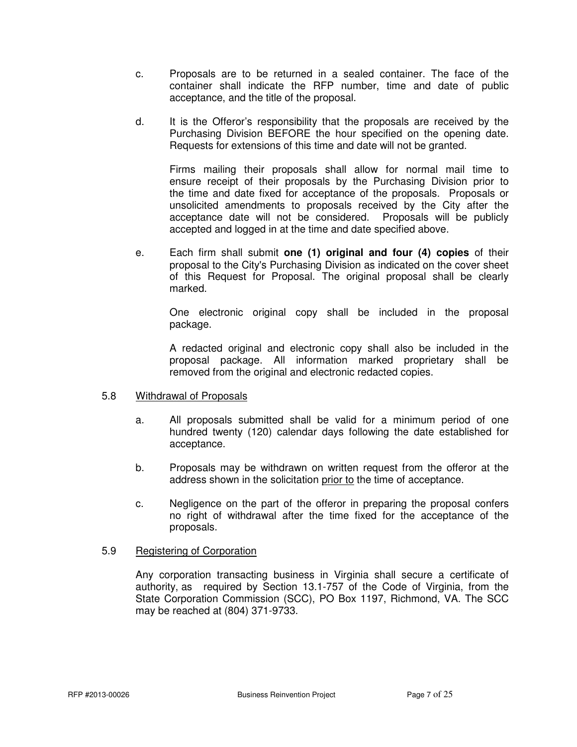- c. Proposals are to be returned in a sealed container. The face of the container shall indicate the RFP number, time and date of public acceptance, and the title of the proposal.
- d. It is the Offeror's responsibility that the proposals are received by the Purchasing Division BEFORE the hour specified on the opening date. Requests for extensions of this time and date will not be granted.

 Firms mailing their proposals shall allow for normal mail time to ensure receipt of their proposals by the Purchasing Division prior to the time and date fixed for acceptance of the proposals. Proposals or unsolicited amendments to proposals received by the City after the acceptance date will not be considered. Proposals will be publicly accepted and logged in at the time and date specified above.

 e. Each firm shall submit **one (1) original and four (4) copies** of their proposal to the City's Purchasing Division as indicated on the cover sheet of this Request for Proposal. The original proposal shall be clearly marked.

 One electronic original copy shall be included in the proposal package.

 A redacted original and electronic copy shall also be included in the proposal package. All information marked proprietary shall be removed from the original and electronic redacted copies.

# 5.8 Withdrawal of Proposals

- a. All proposals submitted shall be valid for a minimum period of one hundred twenty (120) calendar days following the date established for acceptance.
- b. Proposals may be withdrawn on written request from the offeror at the address shown in the solicitation prior to the time of acceptance.
- c. Negligence on the part of the offeror in preparing the proposal confers no right of withdrawal after the time fixed for the acceptance of the proposals.

# 5.9 Registering of Corporation

 Any corporation transacting business in Virginia shall secure a certificate of authority, as required by Section 13.1-757 of the Code of Virginia, from the State Corporation Commission (SCC), PO Box 1197, Richmond, VA. The SCC may be reached at (804) 371-9733.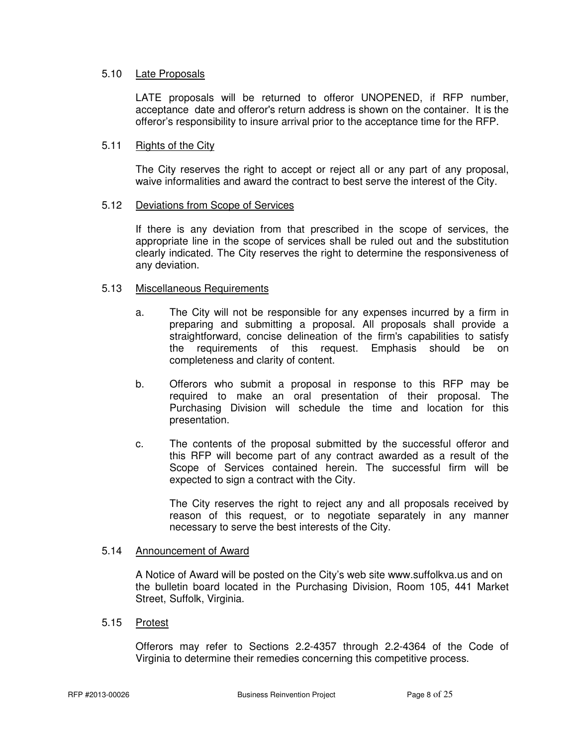#### 5.10 Late Proposals

 LATE proposals will be returned to offeror UNOPENED, if RFP number, acceptance date and offeror's return address is shown on the container. It is the offeror's responsibility to insure arrival prior to the acceptance time for the RFP.

#### 5.11 Rights of the City

 The City reserves the right to accept or reject all or any part of any proposal, waive informalities and award the contract to best serve the interest of the City.

#### 5.12 Deviations from Scope of Services

 If there is any deviation from that prescribed in the scope of services, the appropriate line in the scope of services shall be ruled out and the substitution clearly indicated. The City reserves the right to determine the responsiveness of any deviation.

#### 5.13 Miscellaneous Requirements

- a. The City will not be responsible for any expenses incurred by a firm in preparing and submitting a proposal. All proposals shall provide a straightforward, concise delineation of the firm's capabilities to satisfy the requirements of this request. Emphasis should be on completeness and clarity of content.
- b. Offerors who submit a proposal in response to this RFP may be required to make an oral presentation of their proposal. The Purchasing Division will schedule the time and location for this presentation.
- c. The contents of the proposal submitted by the successful offeror and this RFP will become part of any contract awarded as a result of the Scope of Services contained herein. The successful firm will be expected to sign a contract with the City.

 The City reserves the right to reject any and all proposals received by reason of this request, or to negotiate separately in any manner necessary to serve the best interests of the City.

#### 5.14 Announcement of Award

 A Notice of Award will be posted on the City's web site www.suffolkva.us and on the bulletin board located in the Purchasing Division, Room 105, 441 Market Street, Suffolk, Virginia.

#### 5.15 Protest

 Offerors may refer to Sections 2.2-4357 through 2.2-4364 of the Code of Virginia to determine their remedies concerning this competitive process.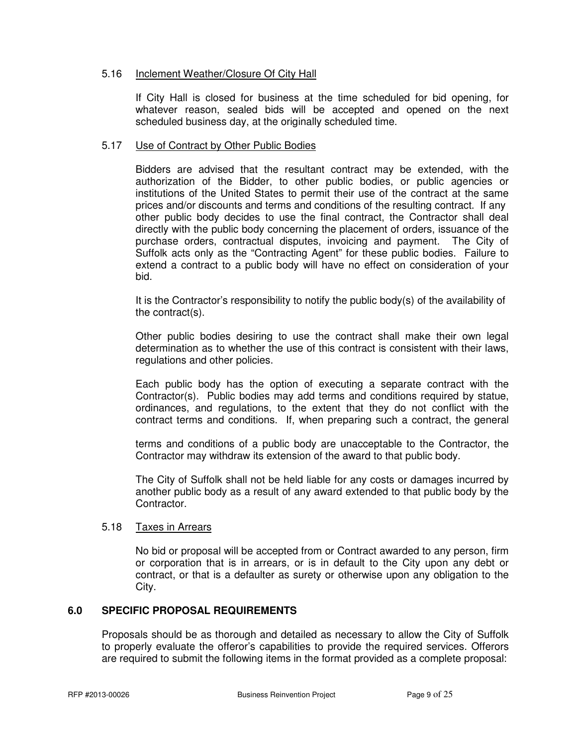#### 5.16 Inclement Weather/Closure Of City Hall

 If City Hall is closed for business at the time scheduled for bid opening, for whatever reason, sealed bids will be accepted and opened on the next scheduled business day, at the originally scheduled time.

#### 5.17 Use of Contract by Other Public Bodies

 Bidders are advised that the resultant contract may be extended, with the authorization of the Bidder, to other public bodies, or public agencies or institutions of the United States to permit their use of the contract at the same prices and/or discounts and terms and conditions of the resulting contract. If any other public body decides to use the final contract, the Contractor shall deal directly with the public body concerning the placement of orders, issuance of the purchase orders, contractual disputes, invoicing and payment. The City of Suffolk acts only as the "Contracting Agent" for these public bodies. Failure to extend a contract to a public body will have no effect on consideration of your bid.

 It is the Contractor's responsibility to notify the public body(s) of the availability of the contract(s).

 Other public bodies desiring to use the contract shall make their own legal determination as to whether the use of this contract is consistent with their laws, regulations and other policies.

 Each public body has the option of executing a separate contract with the Contractor(s). Public bodies may add terms and conditions required by statue, ordinances, and regulations, to the extent that they do not conflict with the contract terms and conditions. If, when preparing such a contract, the general

 terms and conditions of a public body are unacceptable to the Contractor, the Contractor may withdraw its extension of the award to that public body.

 The City of Suffolk shall not be held liable for any costs or damages incurred by another public body as a result of any award extended to that public body by the Contractor.

#### 5.18 Taxes in Arrears

No bid or proposal will be accepted from or Contract awarded to any person, firm or corporation that is in arrears, or is in default to the City upon any debt or contract, or that is a defaulter as surety or otherwise upon any obligation to the City.

# **6.0 SPECIFIC PROPOSAL REQUIREMENTS**

Proposals should be as thorough and detailed as necessary to allow the City of Suffolk to properly evaluate the offeror's capabilities to provide the required services. Offerors are required to submit the following items in the format provided as a complete proposal: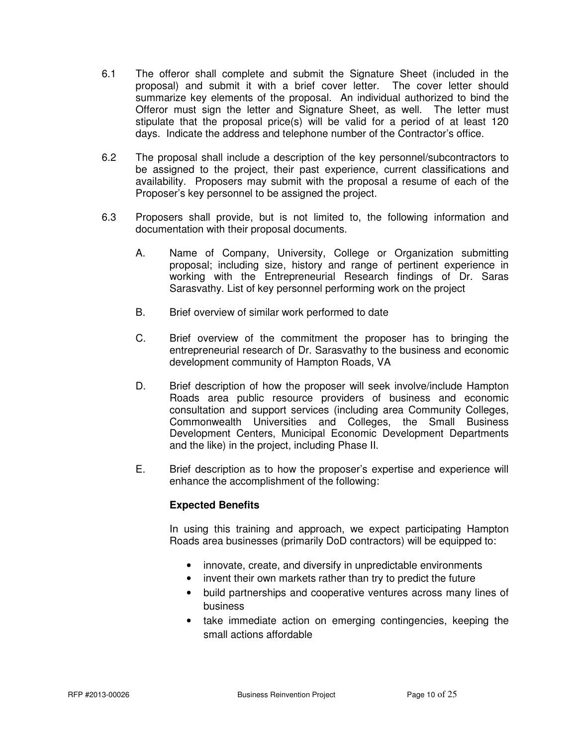- 6.1 The offeror shall complete and submit the Signature Sheet (included in the proposal) and submit it with a brief cover letter. The cover letter should summarize key elements of the proposal. An individual authorized to bind the Offeror must sign the letter and Signature Sheet, as well. The letter must stipulate that the proposal price(s) will be valid for a period of at least 120 days. Indicate the address and telephone number of the Contractor's office.
- 6.2 The proposal shall include a description of the key personnel/subcontractors to be assigned to the project, their past experience, current classifications and availability. Proposers may submit with the proposal a resume of each of the Proposer's key personnel to be assigned the project.
- 6.3 Proposers shall provide, but is not limited to, the following information and documentation with their proposal documents.
	- A. Name of Company, University, College or Organization submitting proposal; including size, history and range of pertinent experience in working with the Entrepreneurial Research findings of Dr. Saras Sarasvathy. List of key personnel performing work on the project
	- B. Brief overview of similar work performed to date
	- C. Brief overview of the commitment the proposer has to bringing the entrepreneurial research of Dr. Sarasvathy to the business and economic development community of Hampton Roads, VA
	- D. Brief description of how the proposer will seek involve/include Hampton Roads area public resource providers of business and economic consultation and support services (including area Community Colleges, Commonwealth Universities and Colleges, the Small Business Development Centers, Municipal Economic Development Departments and the like) in the project, including Phase II.
	- E. Brief description as to how the proposer's expertise and experience will enhance the accomplishment of the following:

# **Expected Benefits**

 In using this training and approach, we expect participating Hampton Roads area businesses (primarily DoD contractors) will be equipped to:

- innovate, create, and diversify in unpredictable environments
- invent their own markets rather than try to predict the future
- build partnerships and cooperative ventures across many lines of business
- take immediate action on emerging contingencies, keeping the small actions affordable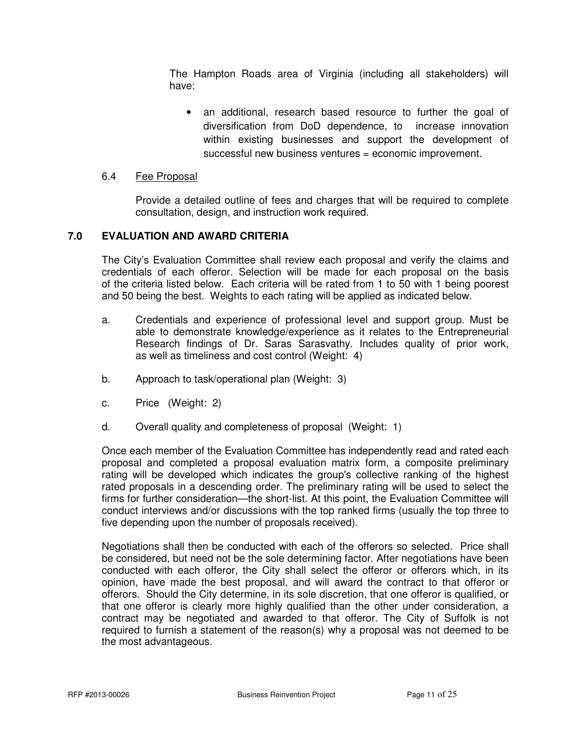The Hampton Roads area of Virginia (including all stakeholders) will have:

• an additional, research based resource to further the goal of diversification from DoD dependence, to increase innovation within existing businesses and support the development of successful new business ventures = economic improvement.

#### 6.4 Fee Proposal

 Provide a detailed outline of fees and charges that will be required to complete consultation, design, and instruction work required.

# **7.0 EVALUATION AND AWARD CRITERIA**

The City's Evaluation Committee shall review each proposal and verify the claims and credentials of each offeror. Selection will be made for each proposal on the basis of the criteria listed below. Each criteria will be rated from 1 to 50 with 1 being poorest and 50 being the best. Weights to each rating will be applied as indicated below.

- a. Credentials and experience of professional level and support group. Must be able to demonstrate knowledge/experience as it relates to the Entrepreneurial Research findings of Dr. Saras Sarasvathy. Includes quality of prior work, as well as timeliness and cost control (Weight: 4)
- b. Approach to task/operational plan (Weight: 3)
- c. Price (Weight: 2)
- d. Overall quality and completeness of proposal (Weight: 1)

 Once each member of the Evaluation Committee has independently read and rated each proposal and completed a proposal evaluation matrix form, a composite preliminary rating will be developed which indicates the group's collective ranking of the highest rated proposals in a descending order. The preliminary rating will be used to select the firms for further consideration—the short-list. At this point, the Evaluation Committee will conduct interviews and/or discussions with the top ranked firms (usually the top three to five depending upon the number of proposals received).

Negotiations shall then be conducted with each of the offerors so selected. Price shall be considered, but need not be the sole determining factor. After negotiations have been conducted with each offeror, the City shall select the offeror or offerors which, in its opinion, have made the best proposal, and will award the contract to that offeror or offerors. Should the City determine, in its sole discretion, that one offeror is qualified, or that one offeror is clearly more highly qualified than the other under consideration, a contract may be negotiated and awarded to that offeror. The City of Suffolk is not required to furnish a statement of the reason(s) why a proposal was not deemed to be the most advantageous.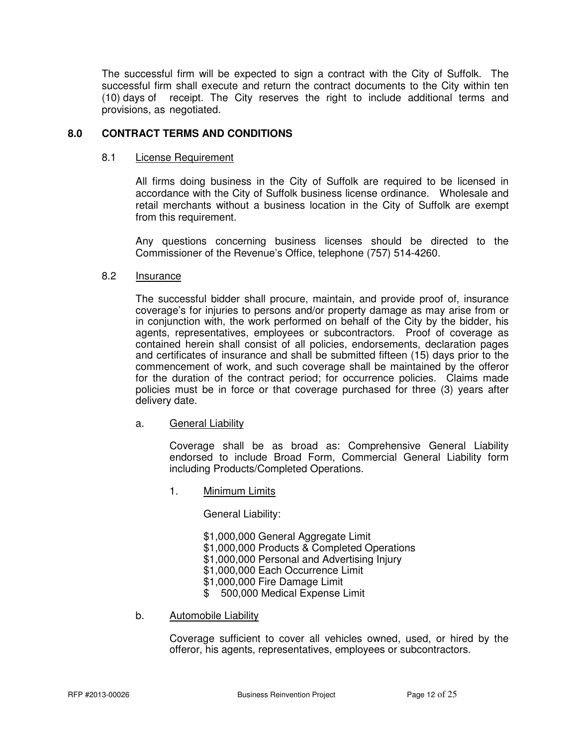The successful firm will be expected to sign a contract with the City of Suffolk. The successful firm shall execute and return the contract documents to the City within ten (10) days of receipt. The City reserves the right to include additional terms and provisions, as negotiated.

# **8.0 CONTRACT TERMS AND CONDITIONS**

#### 8.1 License Requirement

 All firms doing business in the City of Suffolk are required to be licensed in accordance with the City of Suffolk business license ordinance. Wholesale and retail merchants without a business location in the City of Suffolk are exempt from this requirement.

Any questions concerning business licenses should be directed to the Commissioner of the Revenue's Office, telephone (757) 514-4260.

#### 8.2 Insurance

 The successful bidder shall procure, maintain, and provide proof of, insurance coverage's for injuries to persons and/or property damage as may arise from or in conjunction with, the work performed on behalf of the City by the bidder, his agents, representatives, employees or subcontractors. Proof of coverage as contained herein shall consist of all policies, endorsements, declaration pages and certificates of insurance and shall be submitted fifteen (15) days prior to the commencement of work, and such coverage shall be maintained by the offeror for the duration of the contract period; for occurrence policies. Claims made policies must be in force or that coverage purchased for three (3) years after delivery date.

#### a. General Liability

 Coverage shall be as broad as: Comprehensive General Liability endorsed to include Broad Form, Commercial General Liability form including Products/Completed Operations.

1. Minimum Limits

General Liability:

 \$1,000,000 General Aggregate Limit \$1,000,000 Products & Completed Operations \$1,000,000 Personal and Advertising Injury \$1,000,000 Each Occurrence Limit \$1,000,000 Fire Damage Limit

- \$ 500,000 Medical Expense Limit
- b. Automobile Liability

 Coverage sufficient to cover all vehicles owned, used, or hired by the offeror, his agents, representatives, employees or subcontractors.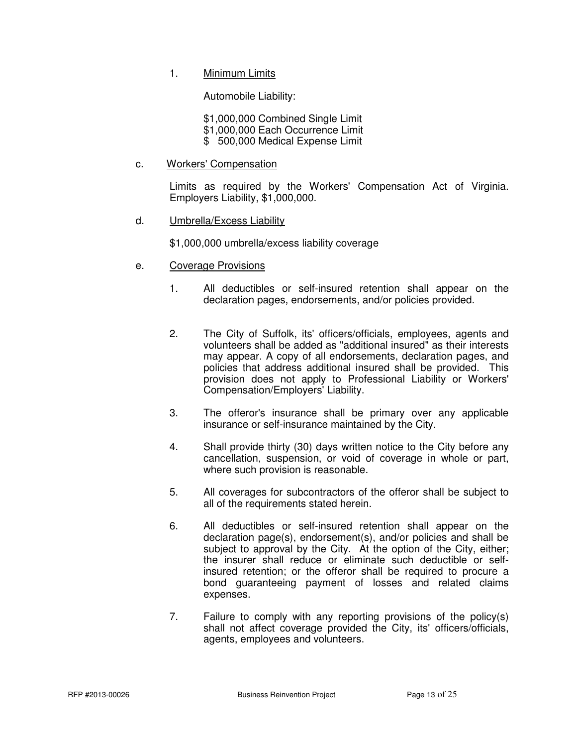1. Minimum Limits

Automobile Liability:

 \$1,000,000 Combined Single Limit \$1,000,000 Each Occurrence Limit \$ 500,000 Medical Expense Limit

c. Workers' Compensation

 Limits as required by the Workers' Compensation Act of Virginia. Employers Liability, \$1,000,000.

d. Umbrella/Excess Liability

\$1,000,000 umbrella/excess liability coverage

- e. Coverage Provisions
	- 1. All deductibles or self-insured retention shall appear on the declaration pages, endorsements, and/or policies provided.
	- 2. The City of Suffolk, its' officers/officials, employees, agents and volunteers shall be added as "additional insured" as their interests may appear. A copy of all endorsements, declaration pages, and policies that address additional insured shall be provided. This provision does not apply to Professional Liability or Workers' Compensation/Employers' Liability.
	- 3. The offeror's insurance shall be primary over any applicable insurance or self-insurance maintained by the City.
	- 4. Shall provide thirty (30) days written notice to the City before any cancellation, suspension, or void of coverage in whole or part, where such provision is reasonable.
	- 5. All coverages for subcontractors of the offeror shall be subject to all of the requirements stated herein.
	- 6. All deductibles or self-insured retention shall appear on the declaration page(s), endorsement(s), and/or policies and shall be subject to approval by the City. At the option of the City, either; the insurer shall reduce or eliminate such deductible or self insured retention; or the offeror shall be required to procure a bond guaranteeing payment of losses and related claims expenses.
	- 7. Failure to comply with any reporting provisions of the policy(s) shall not affect coverage provided the City, its' officers/officials, agents, employees and volunteers.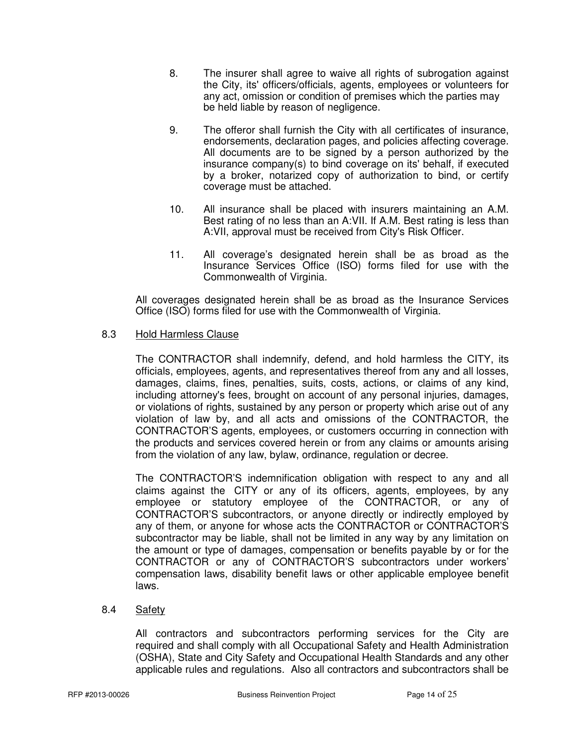- 8. The insurer shall agree to waive all rights of subrogation against the City, its' officers/officials, agents, employees or volunteers for any act, omission or condition of premises which the parties may be held liable by reason of negligence.
- 9. The offeror shall furnish the City with all certificates of insurance, endorsements, declaration pages, and policies affecting coverage. All documents are to be signed by a person authorized by the insurance company(s) to bind coverage on its' behalf, if executed by a broker, notarized copy of authorization to bind, or certify coverage must be attached.
- 10. All insurance shall be placed with insurers maintaining an A.M. Best rating of no less than an A:VII. If A.M. Best rating is less than A:VII, approval must be received from City's Risk Officer.
- 11. All coverage's designated herein shall be as broad as the Insurance Services Office (ISO) forms filed for use with the Commonwealth of Virginia.

 All coverages designated herein shall be as broad as the Insurance Services Office (ISO) forms filed for use with the Commonwealth of Virginia.

# 8.3 Hold Harmless Clause

The CONTRACTOR shall indemnify, defend, and hold harmless the CITY, its officials, employees, agents, and representatives thereof from any and all losses, damages, claims, fines, penalties, suits, costs, actions, or claims of any kind, including attorney's fees, brought on account of any personal injuries, damages, or violations of rights, sustained by any person or property which arise out of any violation of law by, and all acts and omissions of the CONTRACTOR, the CONTRACTOR'S agents, employees, or customers occurring in connection with the products and services covered herein or from any claims or amounts arising from the violation of any law, bylaw, ordinance, regulation or decree.

The CONTRACTOR'S indemnification obligation with respect to any and all claims against the CITY or any of its officers, agents, employees, by any employee or statutory employee of the CONTRACTOR, or any of CONTRACTOR'S subcontractors, or anyone directly or indirectly employed by any of them, or anyone for whose acts the CONTRACTOR or CONTRACTOR'S subcontractor may be liable, shall not be limited in any way by any limitation on the amount or type of damages, compensation or benefits payable by or for the CONTRACTOR or any of CONTRACTOR'S subcontractors under workers' compensation laws, disability benefit laws or other applicable employee benefit laws.

# 8.4 Safety

 All contractors and subcontractors performing services for the City are required and shall comply with all Occupational Safety and Health Administration (OSHA), State and City Safety and Occupational Health Standards and any other applicable rules and regulations. Also all contractors and subcontractors shall be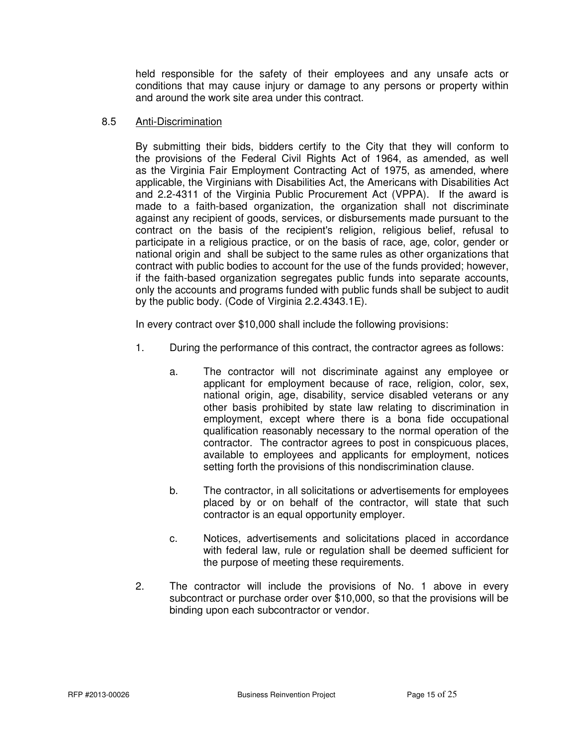held responsible for the safety of their employees and any unsafe acts or conditions that may cause injury or damage to any persons or property within and around the work site area under this contract.

#### 8.5 Anti-Discrimination

 By submitting their bids, bidders certify to the City that they will conform to the provisions of the Federal Civil Rights Act of 1964, as amended, as well as the Virginia Fair Employment Contracting Act of 1975, as amended, where applicable, the Virginians with Disabilities Act, the Americans with Disabilities Act and 2.2-4311 of the Virginia Public Procurement Act (VPPA). If the award is made to a faith-based organization, the organization shall not discriminate against any recipient of goods, services, or disbursements made pursuant to the contract on the basis of the recipient's religion, religious belief, refusal to participate in a religious practice, or on the basis of race, age, color, gender or national origin and shall be subject to the same rules as other organizations that contract with public bodies to account for the use of the funds provided; however, if the faith-based organization segregates public funds into separate accounts, only the accounts and programs funded with public funds shall be subject to audit by the public body. (Code of Virginia 2.2.4343.1E).

In every contract over \$10,000 shall include the following provisions:

- 1. During the performance of this contract, the contractor agrees as follows:
	- a. The contractor will not discriminate against any employee or applicant for employment because of race, religion, color, sex, national origin, age, disability, service disabled veterans or any other basis prohibited by state law relating to discrimination in employment, except where there is a bona fide occupational qualification reasonably necessary to the normal operation of the contractor. The contractor agrees to post in conspicuous places, available to employees and applicants for employment, notices setting forth the provisions of this nondiscrimination clause.
	- b. The contractor, in all solicitations or advertisements for employees placed by or on behalf of the contractor, will state that such contractor is an equal opportunity employer.
	- c. Notices, advertisements and solicitations placed in accordance with federal law, rule or regulation shall be deemed sufficient for the purpose of meeting these requirements.
- 2. The contractor will include the provisions of No. 1 above in every subcontract or purchase order over \$10,000, so that the provisions will be binding upon each subcontractor or vendor.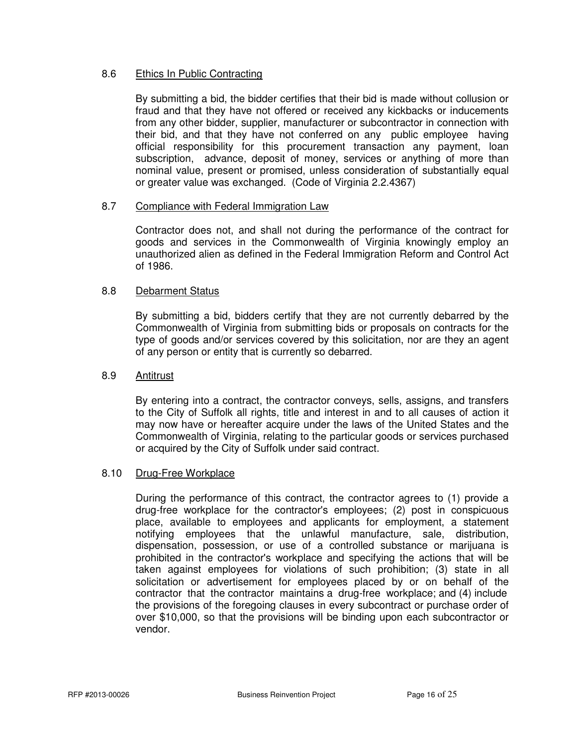#### 8.6 Ethics In Public Contracting

By submitting a bid, the bidder certifies that their bid is made without collusion or fraud and that they have not offered or received any kickbacks or inducements from any other bidder, supplier, manufacturer or subcontractor in connection with their bid, and that they have not conferred on any public employee having official responsibility for this procurement transaction any payment, loan subscription, advance, deposit of money, services or anything of more than nominal value, present or promised, unless consideration of substantially equal or greater value was exchanged. (Code of Virginia 2.2.4367)

#### 8.7 Compliance with Federal Immigration Law

Contractor does not, and shall not during the performance of the contract for goods and services in the Commonwealth of Virginia knowingly employ an unauthorized alien as defined in the Federal Immigration Reform and Control Act of 1986.

#### 8.8 Debarment Status

By submitting a bid, bidders certify that they are not currently debarred by the Commonwealth of Virginia from submitting bids or proposals on contracts for the type of goods and/or services covered by this solicitation, nor are they an agent of any person or entity that is currently so debarred.

#### 8.9 Antitrust

By entering into a contract, the contractor conveys, sells, assigns, and transfers to the City of Suffolk all rights, title and interest in and to all causes of action it may now have or hereafter acquire under the laws of the United States and the Commonwealth of Virginia, relating to the particular goods or services purchased or acquired by the City of Suffolk under said contract.

# 8.10 Drug-Free Workplace

During the performance of this contract, the contractor agrees to (1) provide a drug-free workplace for the contractor's employees; (2) post in conspicuous place, available to employees and applicants for employment, a statement notifying employees that the unlawful manufacture, sale, distribution, dispensation, possession, or use of a controlled substance or marijuana is prohibited in the contractor's workplace and specifying the actions that will be taken against employees for violations of such prohibition; (3) state in all solicitation or advertisement for employees placed by or on behalf of the contractor that the contractor maintains a drug-free workplace; and (4) include the provisions of the foregoing clauses in every subcontract or purchase order of over \$10,000, so that the provisions will be binding upon each subcontractor or vendor.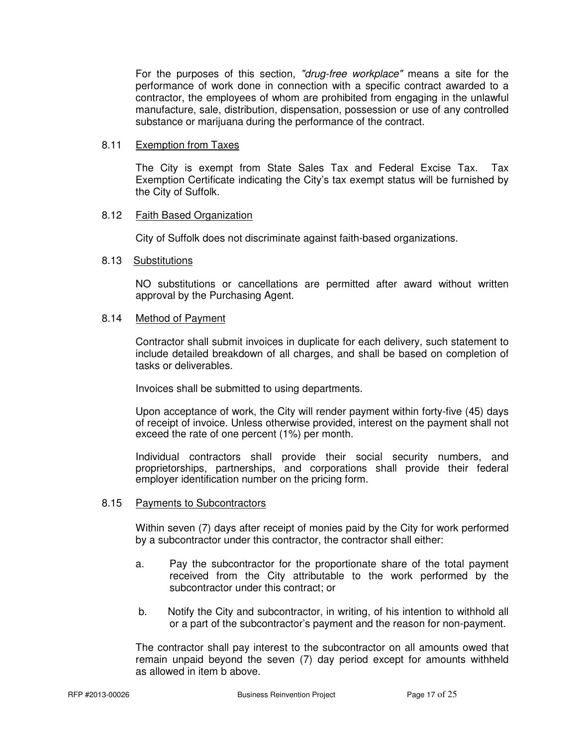For the purposes of this section, "drug-free workplace" means a site for the performance of work done in connection with a specific contract awarded to a contractor, the employees of whom are prohibited from engaging in the unlawful manufacture, sale, distribution, dispensation, possession or use of any controlled substance or marijuana during the performance of the contract.

#### 8.11 Exemption from Taxes

The City is exempt from State Sales Tax and Federal Excise Tax. Tax Exemption Certificate indicating the City's tax exempt status will be furnished by the City of Suffolk.

#### 8.12 Faith Based Organization

City of Suffolk does not discriminate against faith-based organizations.

#### 8.13 Substitutions

NO substitutions or cancellations are permitted after award without written approval by the Purchasing Agent.

# 8.14 Method of Payment

Contractor shall submit invoices in duplicate for each delivery, such statement to include detailed breakdown of all charges, and shall be based on completion of tasks or deliverables.

Invoices shall be submitted to using departments.

 Upon acceptance of work, the City will render payment within forty-five (45) days of receipt of invoice. Unless otherwise provided, interest on the payment shall not exceed the rate of one percent (1%) per month.

 Individual contractors shall provide their social security numbers, and proprietorships, partnerships, and corporations shall provide their federal employer identification number on the pricing form.

#### 8.15 Payments to Subcontractors

Within seven (7) days after receipt of monies paid by the City for work performed by a subcontractor under this contractor, the contractor shall either:

- a. Pay the subcontractor for the proportionate share of the total payment received from the City attributable to the work performed by the subcontractor under this contract; or
- b. Notify the City and subcontractor, in writing, of his intention to withhold all or a part of the subcontractor's payment and the reason for non-payment.

The contractor shall pay interest to the subcontractor on all amounts owed that remain unpaid beyond the seven (7) day period except for amounts withheld as allowed in item b above.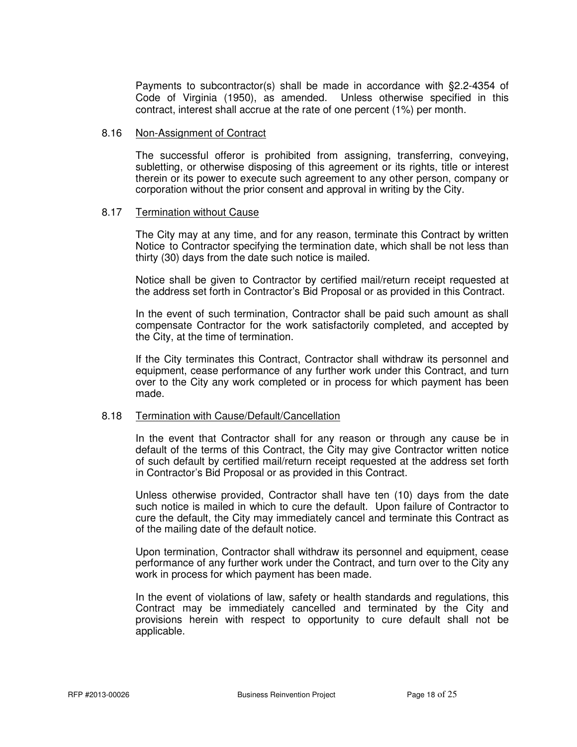Payments to subcontractor(s) shall be made in accordance with §2.2-4354 of Code of Virginia (1950), as amended. Unless otherwise specified in this contract, interest shall accrue at the rate of one percent (1%) per month.

#### 8.16 Non-Assignment of Contract

 The successful offeror is prohibited from assigning, transferring, conveying, subletting, or otherwise disposing of this agreement or its rights, title or interest therein or its power to execute such agreement to any other person, company or corporation without the prior consent and approval in writing by the City.

#### 8.17 Termination without Cause

 The City may at any time, and for any reason, terminate this Contract by written Notice to Contractor specifying the termination date, which shall be not less than thirty (30) days from the date such notice is mailed.

 Notice shall be given to Contractor by certified mail/return receipt requested at the address set forth in Contractor's Bid Proposal or as provided in this Contract.

 In the event of such termination, Contractor shall be paid such amount as shall compensate Contractor for the work satisfactorily completed, and accepted by the City, at the time of termination.

 If the City terminates this Contract, Contractor shall withdraw its personnel and equipment, cease performance of any further work under this Contract, and turn over to the City any work completed or in process for which payment has been made.

#### 8.18 Termination with Cause/Default/Cancellation

 In the event that Contractor shall for any reason or through any cause be in default of the terms of this Contract, the City may give Contractor written notice of such default by certified mail/return receipt requested at the address set forth in Contractor's Bid Proposal or as provided in this Contract.

 Unless otherwise provided, Contractor shall have ten (10) days from the date such notice is mailed in which to cure the default. Upon failure of Contractor to cure the default, the City may immediately cancel and terminate this Contract as of the mailing date of the default notice.

 Upon termination, Contractor shall withdraw its personnel and equipment, cease performance of any further work under the Contract, and turn over to the City any work in process for which payment has been made.

 In the event of violations of law, safety or health standards and regulations, this Contract may be immediately cancelled and terminated by the City and provisions herein with respect to opportunity to cure default shall not be applicable.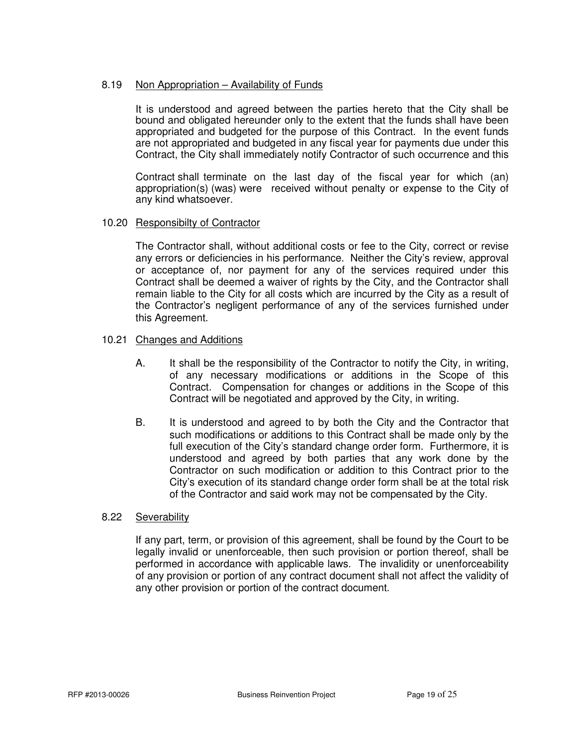#### 8.19 Non Appropriation – Availability of Funds

 It is understood and agreed between the parties hereto that the City shall be bound and obligated hereunder only to the extent that the funds shall have been appropriated and budgeted for the purpose of this Contract. In the event funds are not appropriated and budgeted in any fiscal year for payments due under this Contract, the City shall immediately notify Contractor of such occurrence and this

 Contract shall terminate on the last day of the fiscal year for which (an) appropriation(s) (was) were received without penalty or expense to the City of any kind whatsoever.

#### 10.20 Responsibilty of Contractor

The Contractor shall, without additional costs or fee to the City, correct or revise any errors or deficiencies in his performance. Neither the City's review, approval or acceptance of, nor payment for any of the services required under this Contract shall be deemed a waiver of rights by the City, and the Contractor shall remain liable to the City for all costs which are incurred by the City as a result of the Contractor's negligent performance of any of the services furnished under this Agreement.

#### 10.21 Changes and Additions

- A. It shall be the responsibility of the Contractor to notify the City, in writing, of any necessary modifications or additions in the Scope of this Contract. Compensation for changes or additions in the Scope of this Contract will be negotiated and approved by the City, in writing.
- B. It is understood and agreed to by both the City and the Contractor that such modifications or additions to this Contract shall be made only by the full execution of the City's standard change order form. Furthermore, it is understood and agreed by both parties that any work done by the Contractor on such modification or addition to this Contract prior to the City's execution of its standard change order form shall be at the total risk of the Contractor and said work may not be compensated by the City.

#### 8.22 Severability

If any part, term, or provision of this agreement, shall be found by the Court to be legally invalid or unenforceable, then such provision or portion thereof, shall be performed in accordance with applicable laws. The invalidity or unenforceability of any provision or portion of any contract document shall not affect the validity of any other provision or portion of the contract document.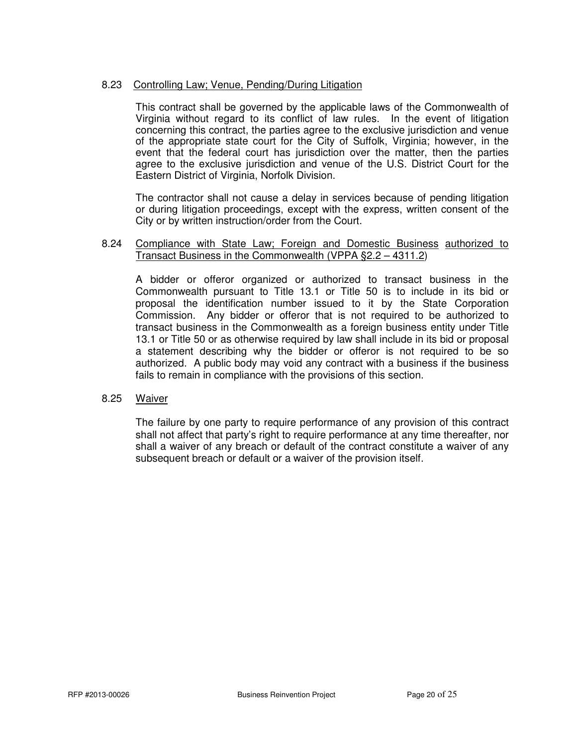#### 8.23 Controlling Law; Venue, Pending/During Litigation

 This contract shall be governed by the applicable laws of the Commonwealth of Virginia without regard to its conflict of law rules. In the event of litigation concerning this contract, the parties agree to the exclusive jurisdiction and venue of the appropriate state court for the City of Suffolk, Virginia; however, in the event that the federal court has jurisdiction over the matter, then the parties agree to the exclusive jurisdiction and venue of the U.S. District Court for the Eastern District of Virginia, Norfolk Division.

 The contractor shall not cause a delay in services because of pending litigation or during litigation proceedings, except with the express, written consent of the City or by written instruction/order from the Court.

#### 8.24 Compliance with State Law; Foreign and Domestic Business authorized to Transact Business in the Commonwealth (VPPA §2.2 – 4311.2)

 A bidder or offeror organized or authorized to transact business in the Commonwealth pursuant to Title 13.1 or Title 50 is to include in its bid or proposal the identification number issued to it by the State Corporation Commission. Any bidder or offeror that is not required to be authorized to transact business in the Commonwealth as a foreign business entity under Title 13.1 or Title 50 or as otherwise required by law shall include in its bid or proposal a statement describing why the bidder or offeror is not required to be so authorized. A public body may void any contract with a business if the business fails to remain in compliance with the provisions of this section.

#### 8.25 Waiver

 The failure by one party to require performance of any provision of this contract shall not affect that party's right to require performance at any time thereafter, nor shall a waiver of any breach or default of the contract constitute a waiver of any subsequent breach or default or a waiver of the provision itself.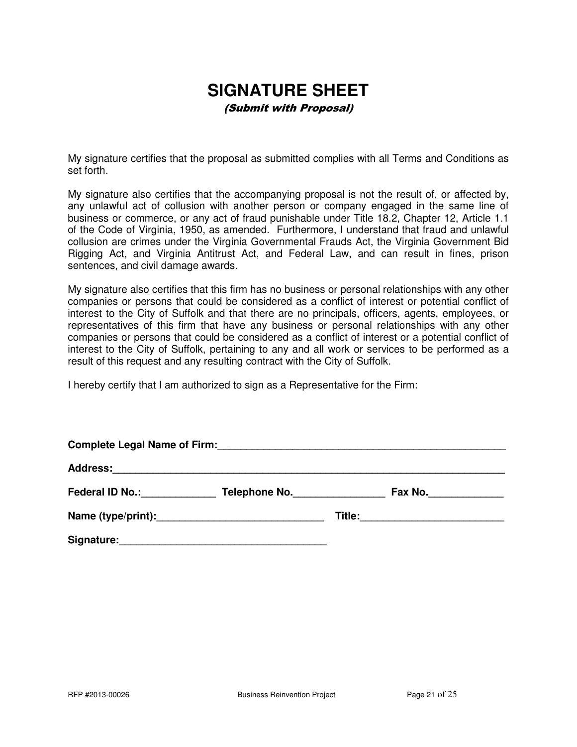# **SIGNATURE SHEET**

(Submit with Proposal)

My signature certifies that the proposal as submitted complies with all Terms and Conditions as set forth.

My signature also certifies that the accompanying proposal is not the result of, or affected by, any unlawful act of collusion with another person or company engaged in the same line of business or commerce, or any act of fraud punishable under Title 18.2, Chapter 12, Article 1.1 of the Code of Virginia, 1950, as amended. Furthermore, I understand that fraud and unlawful collusion are crimes under the Virginia Governmental Frauds Act, the Virginia Government Bid Rigging Act, and Virginia Antitrust Act, and Federal Law, and can result in fines, prison sentences, and civil damage awards.

My signature also certifies that this firm has no business or personal relationships with any other companies or persons that could be considered as a conflict of interest or potential conflict of interest to the City of Suffolk and that there are no principals, officers, agents, employees, or representatives of this firm that have any business or personal relationships with any other companies or persons that could be considered as a conflict of interest or a potential conflict of interest to the City of Suffolk, pertaining to any and all work or services to be performed as a result of this request and any resulting contract with the City of Suffolk.

I hereby certify that I am authorized to sign as a Representative for the Firm:

| <b>Complete Legal Name of Firm:</b> |               |  |         |  |  |  |
|-------------------------------------|---------------|--|---------|--|--|--|
|                                     |               |  |         |  |  |  |
| Federal ID No.: Federal ID No.:     | Telephone No. |  | Fax No. |  |  |  |
|                                     |               |  |         |  |  |  |
| Signature:                          |               |  |         |  |  |  |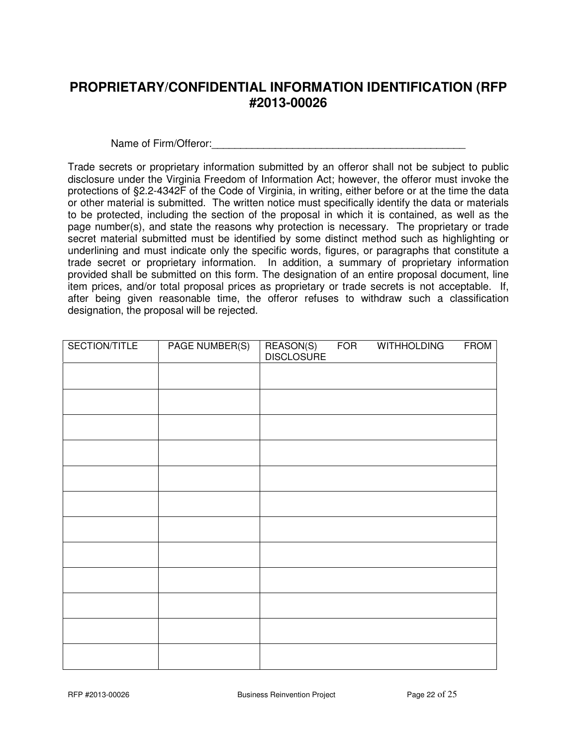# **PROPRIETARY/CONFIDENTIAL INFORMATION IDENTIFICATION (RFP #2013-00026**

Name of Firm/Offeror:\_\_\_\_\_\_\_\_\_\_\_\_\_\_\_\_\_\_\_\_\_\_\_\_\_\_\_\_\_\_\_\_\_\_\_\_\_\_\_\_\_\_\_\_

Trade secrets or proprietary information submitted by an offeror shall not be subject to public disclosure under the Virginia Freedom of Information Act; however, the offeror must invoke the protections of §2.2-4342F of the Code of Virginia, in writing, either before or at the time the data or other material is submitted. The written notice must specifically identify the data or materials to be protected, including the section of the proposal in which it is contained, as well as the page number(s), and state the reasons why protection is necessary. The proprietary or trade secret material submitted must be identified by some distinct method such as highlighting or underlining and must indicate only the specific words, figures, or paragraphs that constitute a trade secret or proprietary information. In addition, a summary of proprietary information provided shall be submitted on this form. The designation of an entire proposal document, line item prices, and/or total proposal prices as proprietary or trade secrets is not acceptable. If, after being given reasonable time, the offeror refuses to withdraw such a classification designation, the proposal will be rejected.

| SECTION/TITLE | <b>PAGE NUMBER(S)</b> | REASON(S)<br>DISCLOSURE | <b>FOR</b> | <b>WITHHOLDING</b> | <b>FROM</b> |
|---------------|-----------------------|-------------------------|------------|--------------------|-------------|
|               |                       |                         |            |                    |             |
|               |                       |                         |            |                    |             |
|               |                       |                         |            |                    |             |
|               |                       |                         |            |                    |             |
|               |                       |                         |            |                    |             |
|               |                       |                         |            |                    |             |
|               |                       |                         |            |                    |             |
|               |                       |                         |            |                    |             |
|               |                       |                         |            |                    |             |
|               |                       |                         |            |                    |             |
|               |                       |                         |            |                    |             |
|               |                       |                         |            |                    |             |
|               |                       |                         |            |                    |             |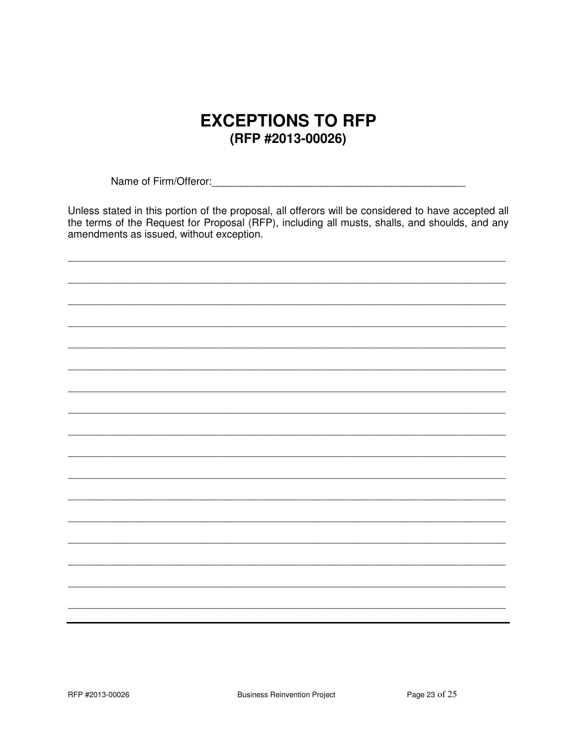# **EXCEPTIONS TO RFP** (RFP #2013-00026)

Unless stated in this portion of the proposal, all offerors will be considered to have accepted all the terms of the Request for Proposal (RFP), including all musts, shalls, and shoulds, and any amendments as issued, without exception.

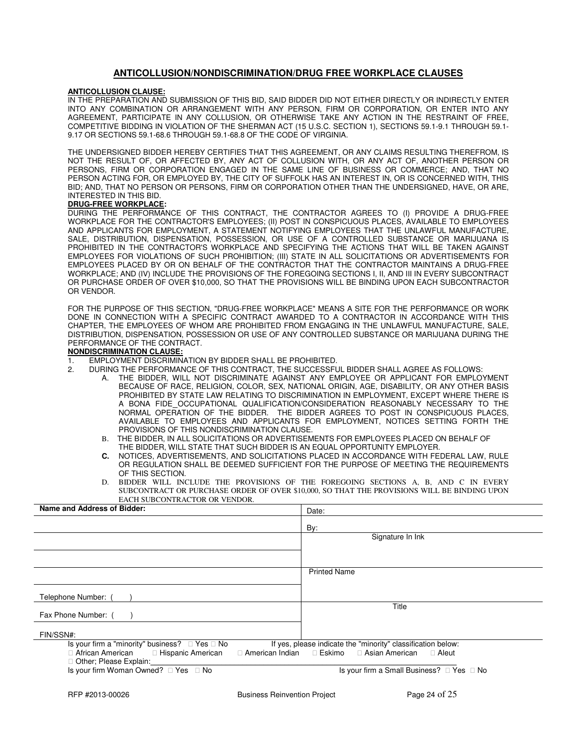#### **ANTICOLLUSION/NONDISCRIMINATION/DRUG FREE WORKPLACE CLAUSES**

#### **ANTICOLLUSION CLAUSE:**

IN THE PREPARATION AND SUBMISSION OF THIS BID, SAID BIDDER DID NOT EITHER DIRECTLY OR INDIRECTLY ENTER INTO ANY COMBINATION OR ARRANGEMENT WITH ANY PERSON, FIRM OR CORPORATION, OR ENTER INTO ANY AGREEMENT, PARTICIPATE IN ANY COLLUSION, OR OTHERWISE TAKE ANY ACTION IN THE RESTRAINT OF FREE, COMPETITIVE BIDDING IN VIOLATION OF THE SHERMAN ACT (15 U.S.C. SECTION 1), SECTIONS 59.1-9.1 THROUGH 59.1- 9.17 OR SECTIONS 59.1-68.6 THROUGH 59.1-68.8 OF THE CODE OF VIRGINIA.

THE UNDERSIGNED BIDDER HEREBY CERTIFIES THAT THIS AGREEMENT, OR ANY CLAIMS RESULTING THEREFROM, IS NOT THE RESULT OF, OR AFFECTED BY, ANY ACT OF COLLUSION WITH, OR ANY ACT OF, ANOTHER PERSON OR PERSONS, FIRM OR CORPORATION ENGAGED IN THE SAME LINE OF BUSINESS OR COMMERCE; AND, THAT NO PERSON ACTING FOR, OR EMPLOYED BY, THE CITY OF SUFFOLK HAS AN INTEREST IN, OR IS CONCERNED WITH, THIS BID; AND, THAT NO PERSON OR PERSONS, FIRM OR CORPORATION OTHER THAN THE UNDERSIGNED, HAVE, OR ARE, INTERESTED IN THIS BID.

#### **DRUG-FREE WORKPLACE:**

DURING THE PERFORMANCE OF THIS CONTRACT, THE CONTRACTOR AGREES TO (I) PROVIDE A DRUG-FREE WORKPLACE FOR THE CONTRACTOR'S EMPLOYEES; (II) POST IN CONSPICUOUS PLACES, AVAILABLE TO EMPLOYEES AND APPLICANTS FOR EMPLOYMENT, A STATEMENT NOTIFYING EMPLOYEES THAT THE UNLAWFUL MANUFACTURE, SALE, DISTRIBUTION, DISPENSATION, POSSESSION, OR USE OF A CONTROLLED SUBSTANCE OR MARIJUANA IS PROHIBITED IN THE CONTRACTOR'S WORKPLACE AND SPECIFYING THE ACTIONS THAT WILL BE TAKEN AGAINST EMPLOYEES FOR VIOLATIONS OF SUCH PROHIBITION; (III) STATE IN ALL SOLICITATIONS OR ADVERTISEMENTS FOR EMPLOYEES PLACED BY OR ON BEHALF OF THE CONTRACTOR THAT THE CONTRACTOR MAINTAINS A DRUG-FREE WORKPLACE; AND (IV) INCLUDE THE PROVISIONS OF THE FOREGOING SECTIONS I, II, AND III IN EVERY SUBCONTRACT OR PURCHASE ORDER OF OVER \$10,000, SO THAT THE PROVISIONS WILL BE BINDING UPON EACH SUBCONTRACTOR OR VENDOR.

FOR THE PURPOSE OF THIS SECTION, "DRUG-FREE WORKPLACE" MEANS A SITE FOR THE PERFORMANCE OR WORK DONE IN CONNECTION WITH A SPECIFIC CONTRACT AWARDED TO A CONTRACTOR IN ACCORDANCE WITH THIS CHAPTER, THE EMPLOYEES OF WHOM ARE PROHIBITED FROM ENGAGING IN THE UNLAWFUL MANUFACTURE, SALE, DISTRIBUTION, DISPENSATION, POSSESSION OR USE OF ANY CONTROLLED SUBSTANCE OR MARIJUANA DURING THE PERFORMANCE OF THE CONTRACT.

#### **NONDISCRIMINATION CLAUSE:**

- 1. EMPLOYMENT DISCRIMINATION BY BIDDER SHALL BE PROHIBITED.
	- 2. DURING THE PERFORMANCE OF THIS CONTRACT, THE SUCCESSFUL BIDDER SHALL AGREE AS FOLLOWS:
		- THE BIDDER, WILL NOT DISCRIMINATE AGAINST ANY EMPLOYEE OR APPLICANT FOR EMPLOYMENT BECAUSE OF RACE, RELIGION, COLOR, SEX, NATIONAL ORIGIN, AGE, DISABILITY, OR ANY OTHER BASIS PROHIBITED BY STATE LAW RELATING TO DISCRIMINATION IN EMPLOYMENT, EXCEPT WHERE THERE IS A BONA FIDE OCCUPATIONAL QUALIFICATION/CONSIDERATION REASONABLY NECESSARY TO THE NORMAL OPERATION OF THE BIDDER. THE BIDDER AGREES TO POST IN CONSPICUOUS PLACES, AVAILABLE TO EMPLOYEES AND APPLICANTS FOR EMPLOYMENT, NOTICES SETTING FORTH THE PROVISIONS OF THIS NONDISCRIMINATION CLAUSE.
		- B. THE BIDDER, IN ALL SOLICITATIONS OR ADVERTISEMENTS FOR EMPLOYEES PLACED ON BEHALF OF THE BIDDER, WILL STATE THAT SUCH BIDDER IS AN EQUAL OPPORTUNITY EMPLOYER.
		- **C.** NOTICES, ADVERTISEMENTS, AND SOLICITATIONS PLACED IN ACCORDANCE WITH FEDERAL LAW, RULE OR REGULATION SHALL BE DEEMED SUFFICIENT FOR THE PURPOSE OF MEETING THE REQUIREMENTS OF THIS SECTION.
		- D. BIDDER WILL INCLUDE THE PROVISIONS OF THE FOREGOING SECTIONS A, B, AND C IN EVERY SUBCONTRACT OR PURCHASE ORDER OF OVER \$10,000, SO THAT THE PROVISIONS WILL BE BINDING UPON EACH SUBCONTRACTOR OR VENDOR.

| Name and Address of Bidder:                                                                                                         | Date:                                                                                             |  |  |
|-------------------------------------------------------------------------------------------------------------------------------------|---------------------------------------------------------------------------------------------------|--|--|
|                                                                                                                                     | By:                                                                                               |  |  |
|                                                                                                                                     | Signature In Ink                                                                                  |  |  |
|                                                                                                                                     |                                                                                                   |  |  |
|                                                                                                                                     | <b>Printed Name</b>                                                                               |  |  |
| Telephone Number: (                                                                                                                 |                                                                                                   |  |  |
| Fax Phone Number: (                                                                                                                 | Title                                                                                             |  |  |
| FIN/SSN#:                                                                                                                           |                                                                                                   |  |  |
| Is your firm a "minority" business?<br>Yes No<br>African American<br>Hispanic American<br>American Indian<br>Other; Please Explain: | If yes, please indicate the "minority" classification below:<br>Eskimo<br>Asian American<br>Aleut |  |  |
| Is your firm Woman Owned?<br>Yes<br>No                                                                                              | Is your firm a Small Business?<br>No<br>Yes                                                       |  |  |